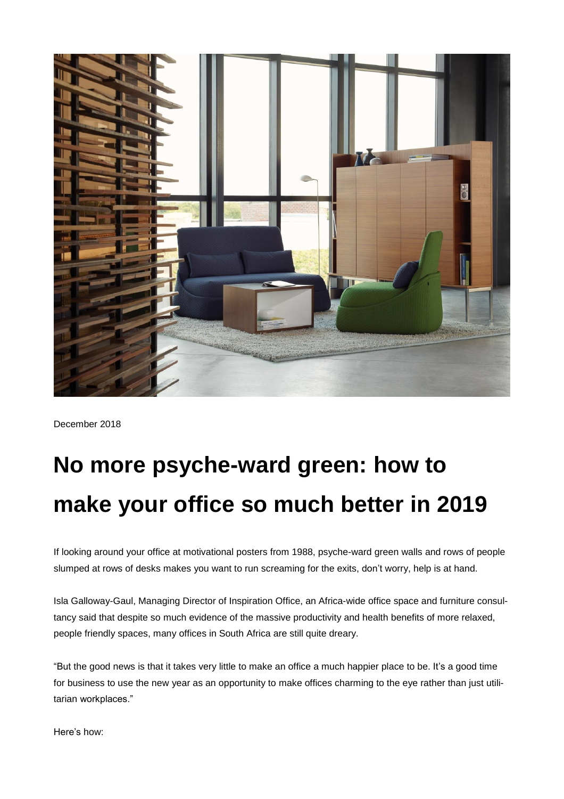

December 2018

# **No more psyche-ward green: how to make your office so much better in 2019**

If looking around your office at motivational posters from 1988, psyche-ward green walls and rows of people slumped at rows of desks makes you want to run screaming for the exits, don't worry, help is at hand.

Isla Galloway-Gaul, Managing Director of Inspiration Office, an Africa-wide office space and furniture consultancy said that despite so much evidence of the massive productivity and health benefits of more relaxed, people friendly spaces, many offices in South Africa are still quite dreary.

"But the good news is that it takes very little to make an office a much happier place to be. It's a good time for business to use the new year as an opportunity to make offices charming to the eye rather than just utilitarian workplaces."

Here's how: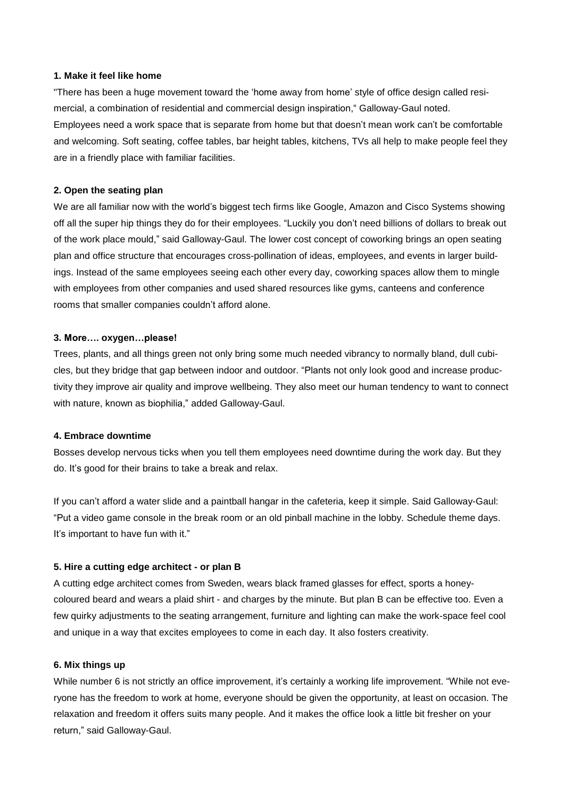### **1. Make it feel like home**

"There has been a huge movement toward the 'home away from home' style of office design called resimercial, a combination of residential and commercial design inspiration," Galloway-Gaul noted. Employees need a work space that is separate from home but that doesn't mean work can't be comfortable and welcoming. Soft seating, coffee tables, bar height tables, kitchens, TVs all help to make people feel they are in a friendly place with familiar facilities.

#### **2. Open the seating plan**

We are all familiar now with the world's biggest tech firms like Google, Amazon and Cisco Systems showing off all the super hip things they do for their employees. "Luckily you don't need billions of dollars to break out of the work place mould," said Galloway-Gaul. The lower cost concept of coworking brings an open seating plan and office structure that encourages cross-pollination of ideas, employees, and events in larger buildings. Instead of the same employees seeing each other every day, coworking spaces allow them to mingle with employees from other companies and used shared resources like gyms, canteens and conference rooms that smaller companies couldn't afford alone.

## **3. More…. oxygen…please!**

Trees, plants, and all things green not only bring some much needed vibrancy to normally bland, dull cubicles, but they bridge that gap between indoor and outdoor. "Plants not only look good and increase productivity they improve air quality and improve wellbeing. They also meet our human tendency to want to connect with nature, known as biophilia," added Galloway-Gaul.

## **4. Embrace downtime**

Bosses develop nervous ticks when you tell them employees need downtime during the work day. But they do. It's good for their brains to take a break and relax.

If you can't afford a water slide and a paintball hangar in the cafeteria, keep it simple. Said Galloway-Gaul: "Put a video game console in the break room or an old pinball machine in the lobby. Schedule theme days. It's important to have fun with it."

## **5. Hire a cutting edge architect - or plan B**

A cutting edge architect comes from Sweden, wears black framed glasses for effect, sports a honeycoloured beard and wears a plaid shirt - and charges by the minute. But plan B can be effective too. Even a few quirky adjustments to the seating arrangement, furniture and lighting can make the work-space feel cool and unique in a way that excites employees to come in each day. It also fosters creativity.

## **6. Mix things up**

While number 6 is not strictly an office improvement, it's certainly a working life improvement. "While not everyone has the freedom to work at home, everyone should be given the opportunity, at least on occasion. The relaxation and freedom it offers suits many people. And it makes the office look a little bit fresher on your return," said Galloway-Gaul.